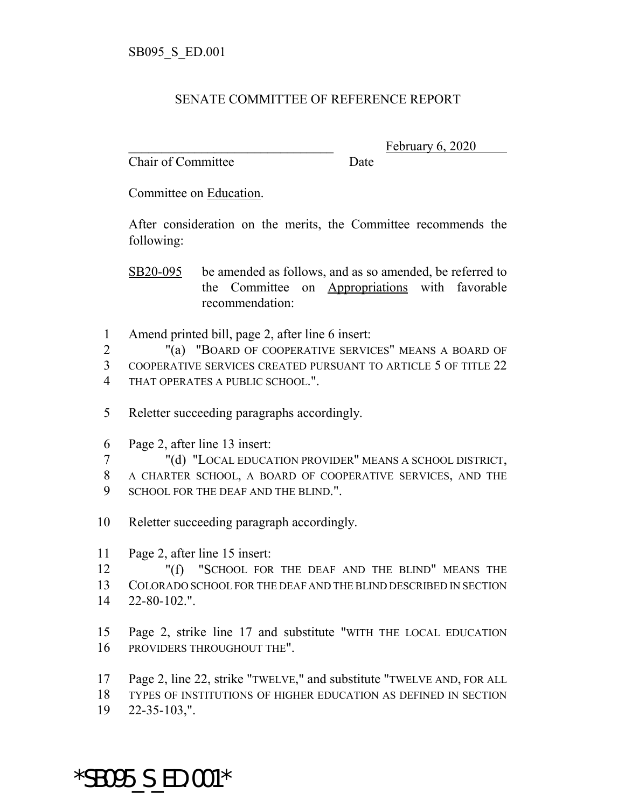## SENATE COMMITTEE OF REFERENCE REPORT

Chair of Committee Date

February 6, 2020

Committee on Education.

After consideration on the merits, the Committee recommends the following:

SB20-095 be amended as follows, and as so amended, be referred to the Committee on Appropriations with favorable recommendation:

1 Amend printed bill, page 2, after line 6 insert:

2 "(a) "BOARD OF COOPERATIVE SERVICES" MEANS A BOARD OF 3 COOPERATIVE SERVICES CREATED PURSUANT TO ARTICLE 5 OF TITLE 22 4 THAT OPERATES A PUBLIC SCHOOL.".

- 5 Reletter succeeding paragraphs accordingly.
- 6 Page 2, after line 13 insert:
- 7 "(d) "LOCAL EDUCATION PROVIDER" MEANS A SCHOOL DISTRICT,
- 8 A CHARTER SCHOOL, A BOARD OF COOPERATIVE SERVICES, AND THE 9 SCHOOL FOR THE DEAF AND THE BLIND."
- 10 Reletter succeeding paragraph accordingly.
- 11 Page 2, after line 15 insert:

12 "(f) "SCHOOL FOR THE DEAF AND THE BLIND" MEANS THE 13 COLORADO SCHOOL FOR THE DEAF AND THE BLIND DESCRIBED IN SECTION 14 22-80-102.".

15 Page 2, strike line 17 and substitute "WITH THE LOCAL EDUCATION 16 PROVIDERS THROUGHOUT THE".

- 17 Page 2, line 22, strike "TWELVE," and substitute "TWELVE AND, FOR ALL
- 18 TYPES OF INSTITUTIONS OF HIGHER EDUCATION AS DEFINED IN SECTION
- 19 22-35-103,".

\*SB095\_S\_ED.001\*